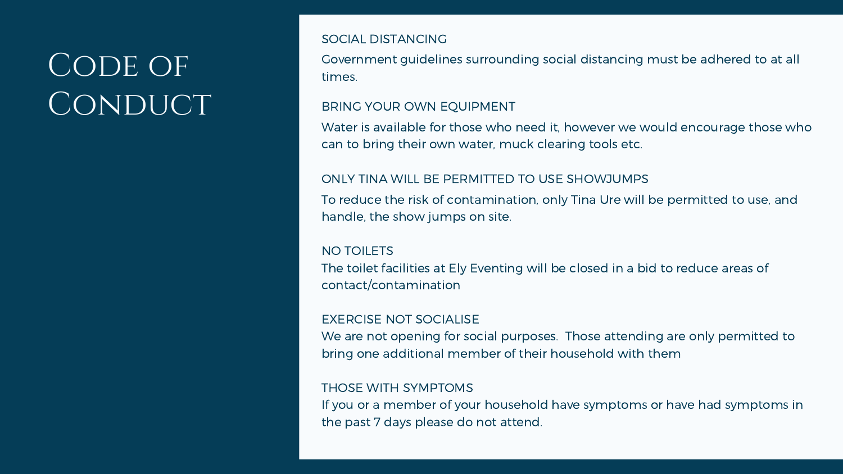Government guidelines surrounding social distancing must be adhered to at all times.

# CODE OF CONDUCT

SOCIAL DISTANCING

Water is available for those who need it, however we would encourage those who can to bring their own water, muck clearing tools etc. BRING YOUR OWN EQUIPMENT

NO TOILETS The toilet facilities at Ely Eventing will be closed in a bid to reduce areas of contact/contamination

To reduce the risk of contamination, only Tina Ure will be permitted to use, and handle, the show jumps on site. ONLY TINA WILL BE PERMITTED TO USE SHOWJUMPS

EXERCISE NOT SOCIALISE We are not opening for social purposes. Those attending are only permitted to bring one additional member of their household with them

THOSE WITH SYMPTOMS If you or a member of your household have symptoms or have had symptoms in the past 7 days please do not attend.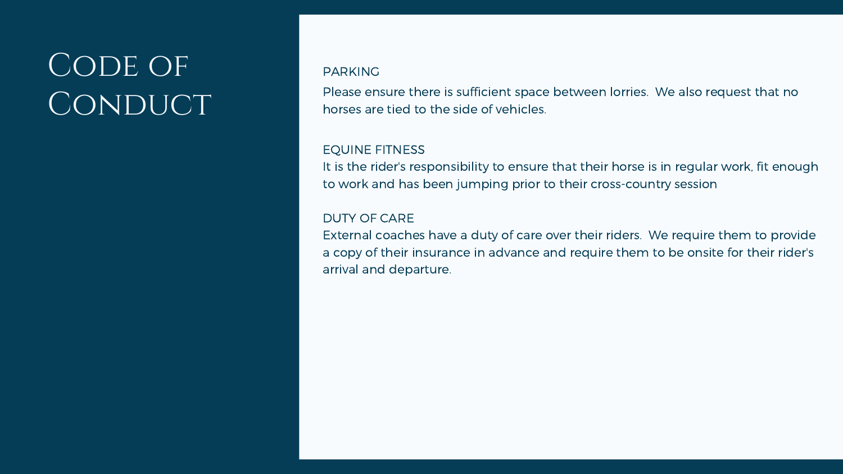Please ensure there is sufficient space between lorries. We also request that no horses are tied to the side of vehicles.

# CODE OF CONDUCT

### PARKING

### EQUINE FITNESS

It is the rider's responsibility to ensure that their horse is in regular work, fit enough to work and has been jumping prior to their cross-country session

### DUTY OF CARE

External coaches have a duty of care over their riders. We require them to provide a copy of their insurance in advance and require them to be onsite for their rider's arrival and departure.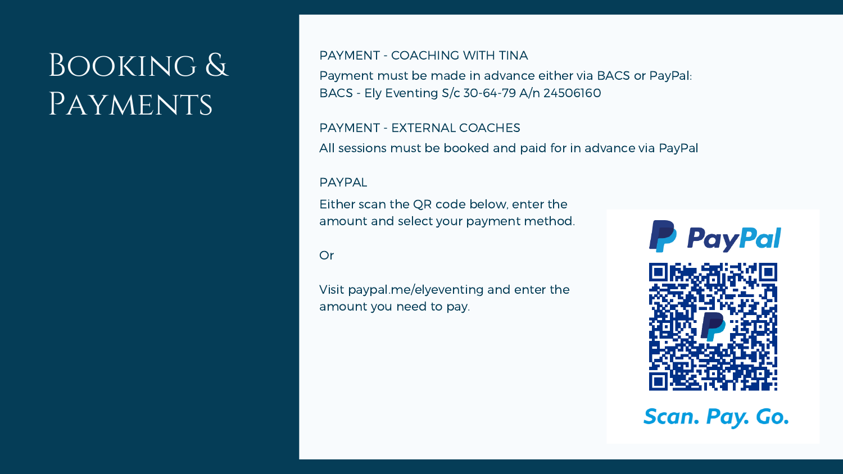# Booking & PAYMENTS

Payment must be made in advance either via BACS or PayPal: BACS - Ely Eventing S/c 30-64-79 A/n 24506160 PAYMENT - COACHING WITH TINA

All sessions must be booked and paid for in advance via PayPal PAYMENT - EXTERNAL COACHES

PAYPAL

Either scan the QR code below, enter the amount and select your payment method.

**Or** 

Visit paypal.me/elyeventing and enter the amount you need to pay.



**Scan. Pay. Go.**